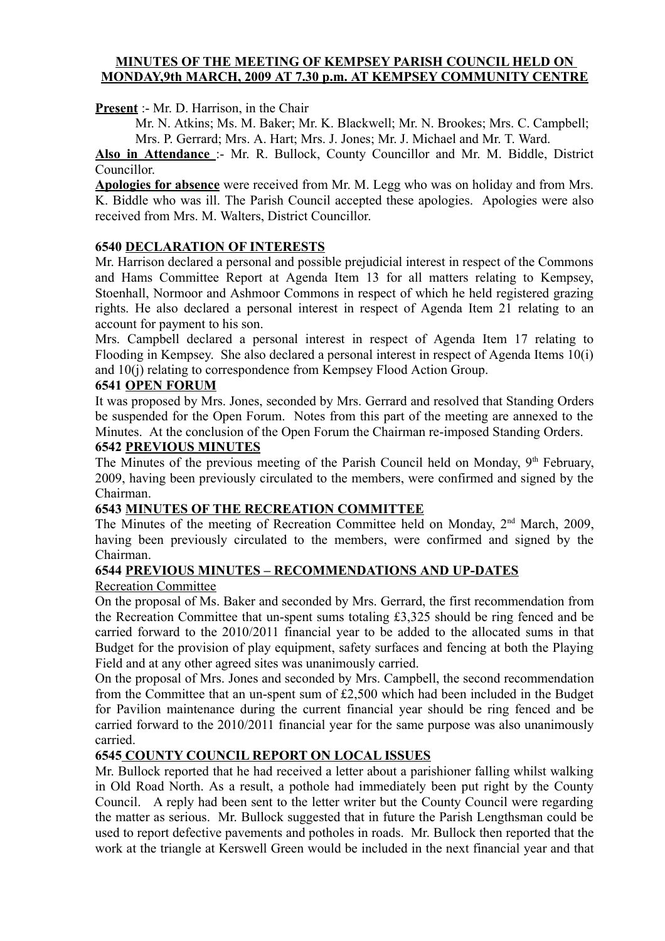#### **MINUTES OF THE MEETING OF KEMPSEY PARISH COUNCIL HELD ON MONDAY,9th MARCH, 2009 AT 7.30 p.m. AT KEMPSEY COMMUNITY CENTRE**

**Present** :- Mr. D. Harrison, in the Chair

Mr. N. Atkins; Ms. M. Baker; Mr. K. Blackwell; Mr. N. Brookes; Mrs. C. Campbell; Mrs. P. Gerrard; Mrs. A. Hart; Mrs. J. Jones; Mr. J. Michael and Mr. T. Ward.

**Also in Attendance** :- Mr. R. Bullock, County Councillor and Mr. M. Biddle, District Councillor.

**Apologies for absence** were received from Mr. M. Legg who was on holiday and from Mrs. K. Biddle who was ill. The Parish Council accepted these apologies. Apologies were also received from Mrs. M. Walters, District Councillor.

### **6540 DECLARATION OF INTERESTS**

Mr. Harrison declared a personal and possible prejudicial interest in respect of the Commons and Hams Committee Report at Agenda Item 13 for all matters relating to Kempsey, Stoenhall, Normoor and Ashmoor Commons in respect of which he held registered grazing rights. He also declared a personal interest in respect of Agenda Item 21 relating to an account for payment to his son.

Mrs. Campbell declared a personal interest in respect of Agenda Item 17 relating to Flooding in Kempsey. She also declared a personal interest in respect of Agenda Items 10(i) and 10(j) relating to correspondence from Kempsey Flood Action Group.

#### **6541 OPEN FORUM**

It was proposed by Mrs. Jones, seconded by Mrs. Gerrard and resolved that Standing Orders be suspended for the Open Forum. Notes from this part of the meeting are annexed to the Minutes. At the conclusion of the Open Forum the Chairman re-imposed Standing Orders.

#### **6542 PREVIOUS MINUTES**

The Minutes of the previous meeting of the Parish Council held on Monday,  $9<sup>th</sup>$  February, 2009, having been previously circulated to the members, were confirmed and signed by the Chairman.

#### **6543 MINUTES OF THE RECREATION COMMITTEE**

The Minutes of the meeting of Recreation Committee held on Monday, 2<sup>nd</sup> March, 2009, having been previously circulated to the members, were confirmed and signed by the Chairman.

#### **6544 PREVIOUS MINUTES – RECOMMENDATIONS AND UP-DATES**

#### Recreation Committee

On the proposal of Ms. Baker and seconded by Mrs. Gerrard, the first recommendation from the Recreation Committee that un-spent sums totaling £3,325 should be ring fenced and be carried forward to the 2010/2011 financial year to be added to the allocated sums in that Budget for the provision of play equipment, safety surfaces and fencing at both the Playing Field and at any other agreed sites was unanimously carried.

On the proposal of Mrs. Jones and seconded by Mrs. Campbell, the second recommendation from the Committee that an un-spent sum of £2,500 which had been included in the Budget for Pavilion maintenance during the current financial year should be ring fenced and be carried forward to the 2010/2011 financial year for the same purpose was also unanimously carried.

#### **6545 COUNTY COUNCIL REPORT ON LOCAL ISSUES**

Mr. Bullock reported that he had received a letter about a parishioner falling whilst walking in Old Road North. As a result, a pothole had immediately been put right by the County Council. A reply had been sent to the letter writer but the County Council were regarding the matter as serious. Mr. Bullock suggested that in future the Parish Lengthsman could be used to report defective pavements and potholes in roads. Mr. Bullock then reported that the work at the triangle at Kerswell Green would be included in the next financial year and that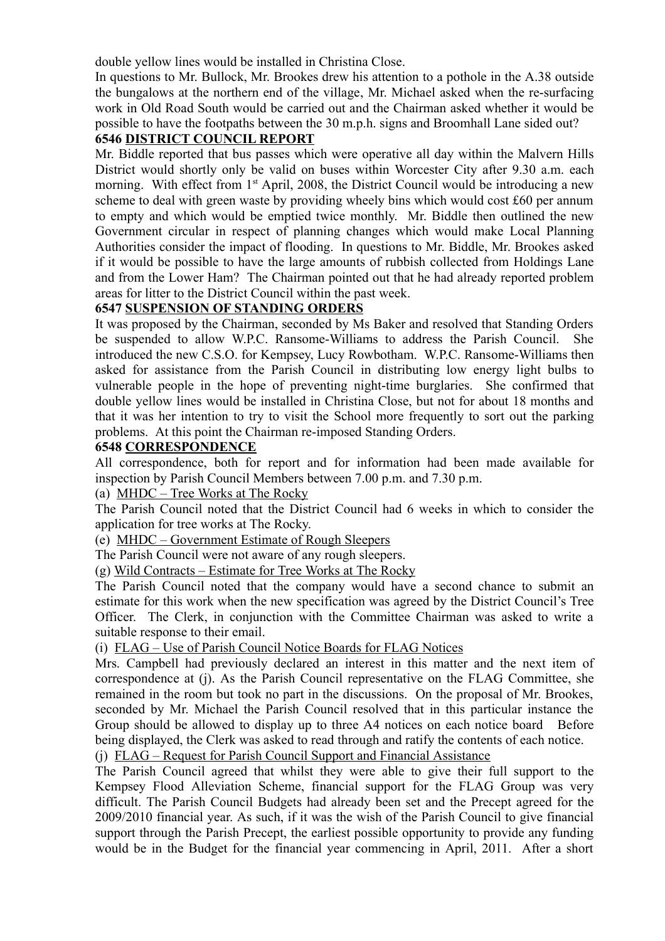double yellow lines would be installed in Christina Close.

In questions to Mr. Bullock, Mr. Brookes drew his attention to a pothole in the A.38 outside the bungalows at the northern end of the village, Mr. Michael asked when the re-surfacing work in Old Road South would be carried out and the Chairman asked whether it would be possible to have the footpaths between the 30 m.p.h. signs and Broomhall Lane sided out?

# **6546 DISTRICT COUNCIL REPORT**

Mr. Biddle reported that bus passes which were operative all day within the Malvern Hills District would shortly only be valid on buses within Worcester City after 9.30 a.m. each morning. With effect from 1<sup>st</sup> April, 2008, the District Council would be introducing a new scheme to deal with green waste by providing wheely bins which would cost £60 per annum to empty and which would be emptied twice monthly. Mr. Biddle then outlined the new Government circular in respect of planning changes which would make Local Planning Authorities consider the impact of flooding. In questions to Mr. Biddle, Mr. Brookes asked if it would be possible to have the large amounts of rubbish collected from Holdings Lane and from the Lower Ham? The Chairman pointed out that he had already reported problem areas for litter to the District Council within the past week.

### **6547 SUSPENSION OF STANDING ORDERS**

It was proposed by the Chairman, seconded by Ms Baker and resolved that Standing Orders be suspended to allow W.P.C. Ransome-Williams to address the Parish Council. She introduced the new C.S.O. for Kempsey, Lucy Rowbotham. W.P.C. Ransome-Williams then asked for assistance from the Parish Council in distributing low energy light bulbs to vulnerable people in the hope of preventing night-time burglaries. She confirmed that double yellow lines would be installed in Christina Close, but not for about 18 months and that it was her intention to try to visit the School more frequently to sort out the parking problems. At this point the Chairman re-imposed Standing Orders.

### **6548 CORRESPONDENCE**

All correspondence, both for report and for information had been made available for inspection by Parish Council Members between 7.00 p.m. and 7.30 p.m.

(a) MHDC – Tree Works at The Rocky

The Parish Council noted that the District Council had 6 weeks in which to consider the application for tree works at The Rocky.

(e) MHDC – Government Estimate of Rough Sleepers

The Parish Council were not aware of any rough sleepers.

(g) Wild Contracts – Estimate for Tree Works at The Rocky

The Parish Council noted that the company would have a second chance to submit an estimate for this work when the new specification was agreed by the District Council's Tree Officer. The Clerk, in conjunction with the Committee Chairman was asked to write a suitable response to their email.

(i) FLAG – Use of Parish Council Notice Boards for FLAG Notices

Mrs. Campbell had previously declared an interest in this matter and the next item of correspondence at (j). As the Parish Council representative on the FLAG Committee, she remained in the room but took no part in the discussions. On the proposal of Mr. Brookes, seconded by Mr. Michael the Parish Council resolved that in this particular instance the Group should be allowed to display up to three A4 notices on each notice board Before being displayed, the Clerk was asked to read through and ratify the contents of each notice.

(j) FLAG – Request for Parish Council Support and Financial Assistance

The Parish Council agreed that whilst they were able to give their full support to the Kempsey Flood Alleviation Scheme, financial support for the FLAG Group was very difficult. The Parish Council Budgets had already been set and the Precept agreed for the 2009/2010 financial year. As such, if it was the wish of the Parish Council to give financial support through the Parish Precept, the earliest possible opportunity to provide any funding would be in the Budget for the financial year commencing in April, 2011. After a short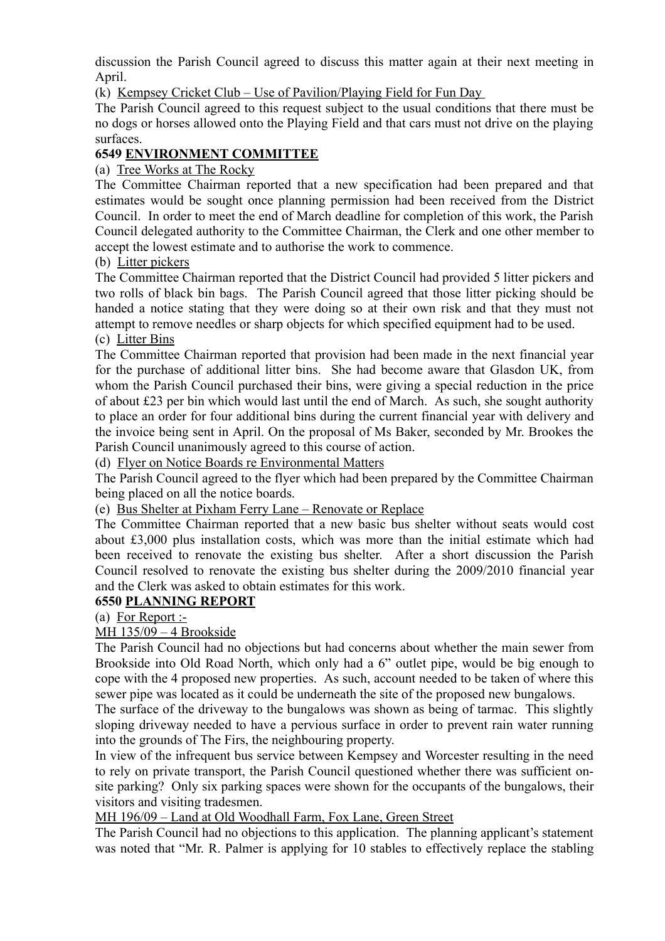discussion the Parish Council agreed to discuss this matter again at their next meeting in April.

(k) Kempsey Cricket Club – Use of Pavilion/Playing Field for Fun Day

The Parish Council agreed to this request subject to the usual conditions that there must be no dogs or horses allowed onto the Playing Field and that cars must not drive on the playing surfaces.

### **6549 ENVIRONMENT COMMITTEE**

(a) Tree Works at The Rocky

The Committee Chairman reported that a new specification had been prepared and that estimates would be sought once planning permission had been received from the District Council. In order to meet the end of March deadline for completion of this work, the Parish Council delegated authority to the Committee Chairman, the Clerk and one other member to accept the lowest estimate and to authorise the work to commence.

### (b) Litter pickers

The Committee Chairman reported that the District Council had provided 5 litter pickers and two rolls of black bin bags. The Parish Council agreed that those litter picking should be handed a notice stating that they were doing so at their own risk and that they must not attempt to remove needles or sharp objects for which specified equipment had to be used.

# (c) Litter Bins

The Committee Chairman reported that provision had been made in the next financial year for the purchase of additional litter bins. She had become aware that Glasdon UK, from whom the Parish Council purchased their bins, were giving a special reduction in the price of about £23 per bin which would last until the end of March. As such, she sought authority to place an order for four additional bins during the current financial year with delivery and the invoice being sent in April. On the proposal of Ms Baker, seconded by Mr. Brookes the Parish Council unanimously agreed to this course of action.

(d) Flyer on Notice Boards re Environmental Matters

The Parish Council agreed to the flyer which had been prepared by the Committee Chairman being placed on all the notice boards.

(e) Bus Shelter at Pixham Ferry Lane – Renovate or Replace

The Committee Chairman reported that a new basic bus shelter without seats would cost about £3,000 plus installation costs, which was more than the initial estimate which had been received to renovate the existing bus shelter. After a short discussion the Parish Council resolved to renovate the existing bus shelter during the 2009/2010 financial year and the Clerk was asked to obtain estimates for this work.

### **6550 PLANNING REPORT**

(a) For Report :-

### MH 135/09 – 4 Brookside

The Parish Council had no objections but had concerns about whether the main sewer from Brookside into Old Road North, which only had a 6" outlet pipe, would be big enough to cope with the 4 proposed new properties. As such, account needed to be taken of where this sewer pipe was located as it could be underneath the site of the proposed new bungalows.

The surface of the driveway to the bungalows was shown as being of tarmac. This slightly sloping driveway needed to have a pervious surface in order to prevent rain water running into the grounds of The Firs, the neighbouring property.

In view of the infrequent bus service between Kempsey and Worcester resulting in the need to rely on private transport, the Parish Council questioned whether there was sufficient onsite parking? Only six parking spaces were shown for the occupants of the bungalows, their visitors and visiting tradesmen.

### MH 196/09 – Land at Old Woodhall Farm, Fox Lane, Green Street

The Parish Council had no objections to this application. The planning applicant's statement was noted that "Mr. R. Palmer is applying for 10 stables to effectively replace the stabling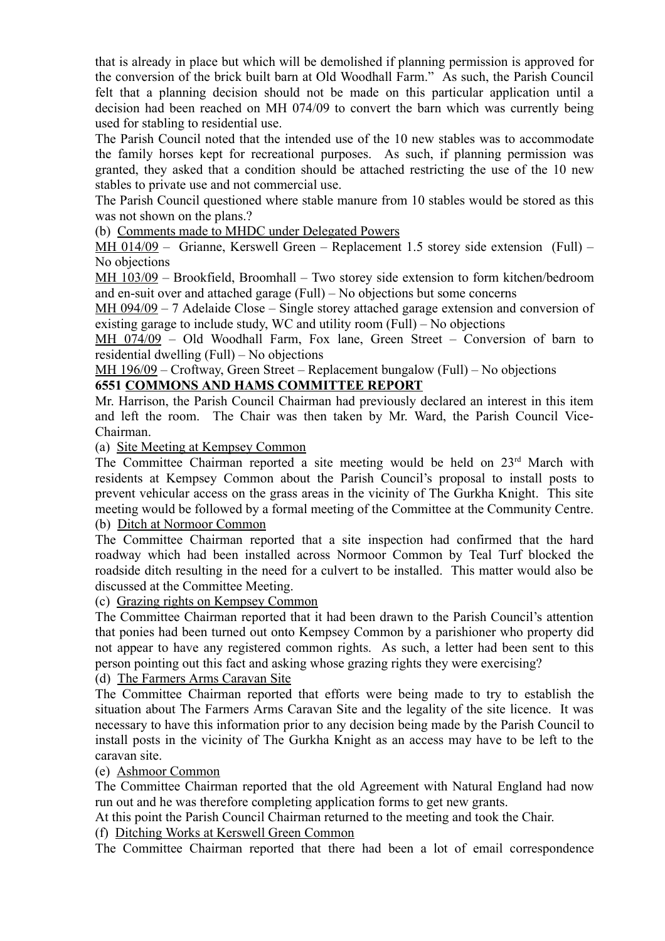that is already in place but which will be demolished if planning permission is approved for the conversion of the brick built barn at Old Woodhall Farm." As such, the Parish Council felt that a planning decision should not be made on this particular application until a decision had been reached on MH 074/09 to convert the barn which was currently being used for stabling to residential use.

The Parish Council noted that the intended use of the 10 new stables was to accommodate the family horses kept for recreational purposes. As such, if planning permission was granted, they asked that a condition should be attached restricting the use of the 10 new stables to private use and not commercial use.

The Parish Council questioned where stable manure from 10 stables would be stored as this was not shown on the plans.?

(b) Comments made to MHDC under Delegated Powers

MH 014/09 – Grianne, Kerswell Green – Replacement 1.5 storey side extension (Full) – No objections

MH 103/09 – Brookfield, Broomhall – Two storey side extension to form kitchen/bedroom and en-suit over and attached garage (Full) – No objections but some concerns

MH 094/09 – 7 Adelaide Close – Single storey attached garage extension and conversion of existing garage to include study, WC and utility room (Full) – No objections

MH 074/09 – Old Woodhall Farm, Fox lane, Green Street – Conversion of barn to residential dwelling (Full) – No objections

MH 196/09 – Croftway, Green Street – Replacement bungalow (Full) – No objections

## **6551 COMMONS AND HAMS COMMITTEE REPORT**

Mr. Harrison, the Parish Council Chairman had previously declared an interest in this item and left the room. The Chair was then taken by Mr. Ward, the Parish Council Vice-Chairman.

(a) Site Meeting at Kempsey Common

The Committee Chairman reported a site meeting would be held on 23<sup>rd</sup> March with residents at Kempsey Common about the Parish Council's proposal to install posts to prevent vehicular access on the grass areas in the vicinity of The Gurkha Knight. This site meeting would be followed by a formal meeting of the Committee at the Community Centre. (b) Ditch at Normoor Common

The Committee Chairman reported that a site inspection had confirmed that the hard roadway which had been installed across Normoor Common by Teal Turf blocked the roadside ditch resulting in the need for a culvert to be installed. This matter would also be discussed at the Committee Meeting.

(c) Grazing rights on Kempsey Common

The Committee Chairman reported that it had been drawn to the Parish Council's attention that ponies had been turned out onto Kempsey Common by a parishioner who property did not appear to have any registered common rights. As such, a letter had been sent to this person pointing out this fact and asking whose grazing rights they were exercising?

(d) The Farmers Arms Caravan Site

The Committee Chairman reported that efforts were being made to try to establish the situation about The Farmers Arms Caravan Site and the legality of the site licence. It was necessary to have this information prior to any decision being made by the Parish Council to install posts in the vicinity of The Gurkha Knight as an access may have to be left to the caravan site.

### (e) Ashmoor Common

The Committee Chairman reported that the old Agreement with Natural England had now run out and he was therefore completing application forms to get new grants.

At this point the Parish Council Chairman returned to the meeting and took the Chair.

(f) Ditching Works at Kerswell Green Common

The Committee Chairman reported that there had been a lot of email correspondence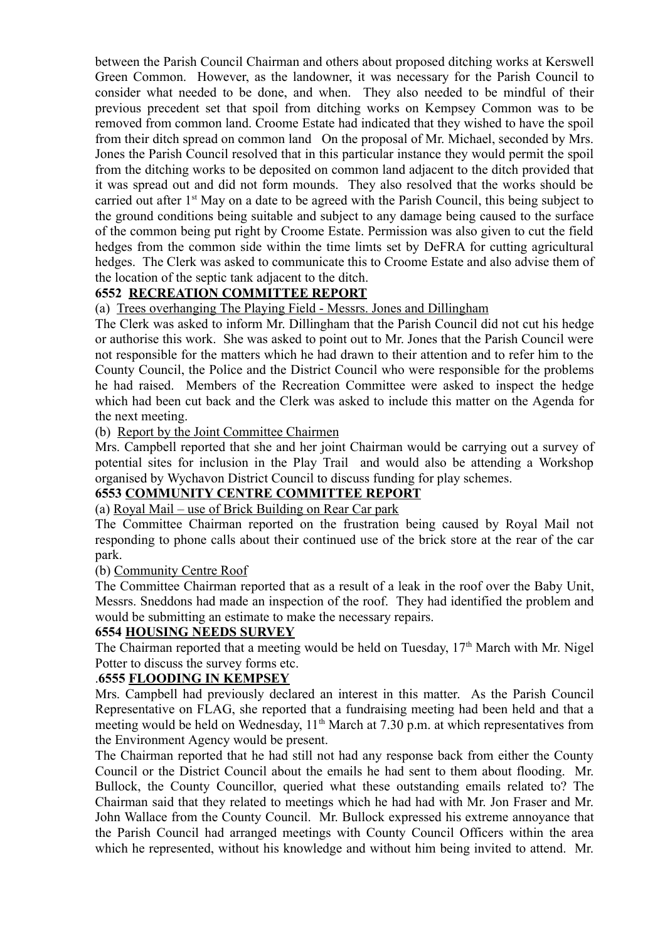between the Parish Council Chairman and others about proposed ditching works at Kerswell Green Common. However, as the landowner, it was necessary for the Parish Council to consider what needed to be done, and when. They also needed to be mindful of their previous precedent set that spoil from ditching works on Kempsey Common was to be removed from common land. Croome Estate had indicated that they wished to have the spoil from their ditch spread on common land On the proposal of Mr. Michael, seconded by Mrs. Jones the Parish Council resolved that in this particular instance they would permit the spoil from the ditching works to be deposited on common land adjacent to the ditch provided that it was spread out and did not form mounds. They also resolved that the works should be carried out after 1<sup>st</sup> May on a date to be agreed with the Parish Council, this being subject to the ground conditions being suitable and subject to any damage being caused to the surface of the common being put right by Croome Estate. Permission was also given to cut the field hedges from the common side within the time limts set by DeFRA for cutting agricultural hedges. The Clerk was asked to communicate this to Croome Estate and also advise them of the location of the septic tank adjacent to the ditch.

### **6552 RECREATION COMMITTEE REPORT**

(a) Trees overhanging The Playing Field - Messrs. Jones and Dillingham

The Clerk was asked to inform Mr. Dillingham that the Parish Council did not cut his hedge or authorise this work. She was asked to point out to Mr. Jones that the Parish Council were not responsible for the matters which he had drawn to their attention and to refer him to the County Council, the Police and the District Council who were responsible for the problems he had raised. Members of the Recreation Committee were asked to inspect the hedge which had been cut back and the Clerk was asked to include this matter on the Agenda for the next meeting.

#### (b) Report by the Joint Committee Chairmen

Mrs. Campbell reported that she and her joint Chairman would be carrying out a survey of potential sites for inclusion in the Play Trail and would also be attending a Workshop organised by Wychavon District Council to discuss funding for play schemes.

#### **6553 COMMUNITY CENTRE COMMITTEE REPORT**

### (a) Royal Mail – use of Brick Building on Rear Car park

The Committee Chairman reported on the frustration being caused by Royal Mail not responding to phone calls about their continued use of the brick store at the rear of the car park.

#### (b) Community Centre Roof

The Committee Chairman reported that as a result of a leak in the roof over the Baby Unit, Messrs. Sneddons had made an inspection of the roof. They had identified the problem and would be submitting an estimate to make the necessary repairs.

#### **6554 HOUSING NEEDS SURVEY**

The Chairman reported that a meeting would be held on Tuesday, 17<sup>th</sup> March with Mr. Nigel Potter to discuss the survey forms etc.

#### .**6555 FLOODING IN KEMPSEY**

Mrs. Campbell had previously declared an interest in this matter. As the Parish Council Representative on FLAG, she reported that a fundraising meeting had been held and that a meeting would be held on Wednesday,  $11<sup>th</sup>$  March at 7.30 p.m. at which representatives from the Environment Agency would be present.

The Chairman reported that he had still not had any response back from either the County Council or the District Council about the emails he had sent to them about flooding. Mr. Bullock, the County Councillor, queried what these outstanding emails related to? The Chairman said that they related to meetings which he had had with Mr. Jon Fraser and Mr. John Wallace from the County Council. Mr. Bullock expressed his extreme annoyance that the Parish Council had arranged meetings with County Council Officers within the area which he represented, without his knowledge and without him being invited to attend. Mr.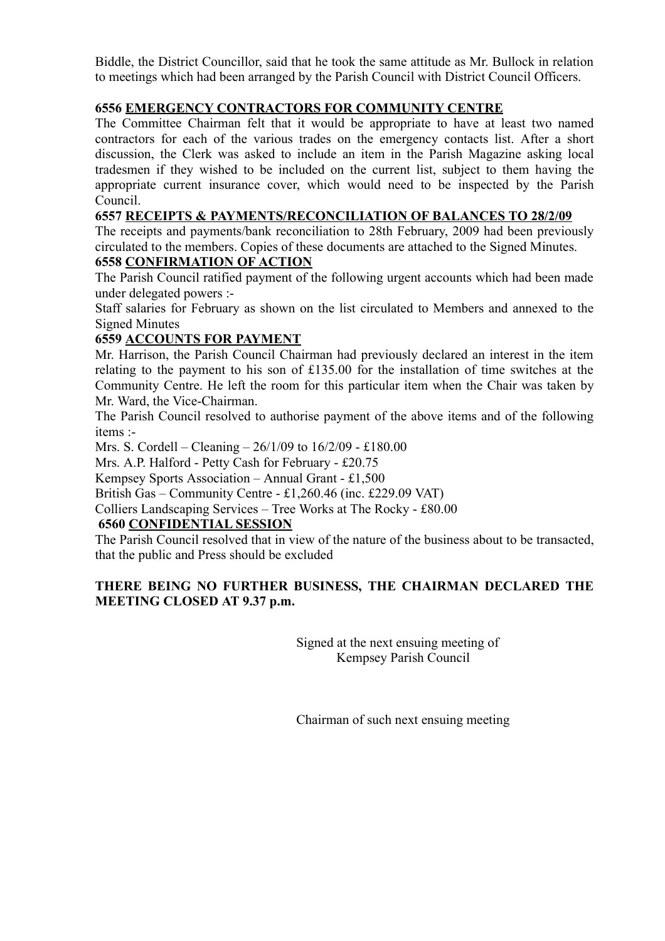Biddle, the District Councillor, said that he took the same attitude as Mr. Bullock in relation to meetings which had been arranged by the Parish Council with District Council Officers.

### **6556 EMERGENCY CONTRACTORS FOR COMMUNITY CENTRE**

The Committee Chairman felt that it would be appropriate to have at least two named contractors for each of the various trades on the emergency contacts list. After a short discussion, the Clerk was asked to include an item in the Parish Magazine asking local tradesmen if they wished to be included on the current list, subject to them having the appropriate current insurance cover, which would need to be inspected by the Parish Council.

### **6557 RECEIPTS & PAYMENTS/RECONCILIATION OF BALANCES TO 28/2/09**

The receipts and payments/bank reconciliation to 28th February, 2009 had been previously circulated to the members. Copies of these documents are attached to the Signed Minutes.

### **6558 CONFIRMATION OF ACTION**

The Parish Council ratified payment of the following urgent accounts which had been made under delegated powers :-

Staff salaries for February as shown on the list circulated to Members and annexed to the Signed Minutes

### **6559 ACCOUNTS FOR PAYMENT**

Mr. Harrison, the Parish Council Chairman had previously declared an interest in the item relating to the payment to his son of £135.00 for the installation of time switches at the Community Centre. He left the room for this particular item when the Chair was taken by Mr. Ward, the Vice-Chairman.

The Parish Council resolved to authorise payment of the above items and of the following items :-

Mrs. S. Cordell – Cleaning – 26/1/09 to 16/2/09 - £180.00

Mrs. A.P. Halford - Petty Cash for February - £20.75

Kempsey Sports Association – Annual Grant - £1,500

British Gas – Community Centre - £1,260.46 (inc. £229.09 VAT)

Colliers Landscaping Services – Tree Works at The Rocky - £80.00

### **6560 CONFIDENTIAL SESSION**

The Parish Council resolved that in view of the nature of the business about to be transacted, that the public and Press should be excluded

### **THERE BEING NO FURTHER BUSINESS, THE CHAIRMAN DECLARED THE MEETING CLOSED AT 9.37 p.m.**

Signed at the next ensuing meeting of Kempsey Parish Council

Chairman of such next ensuing meeting